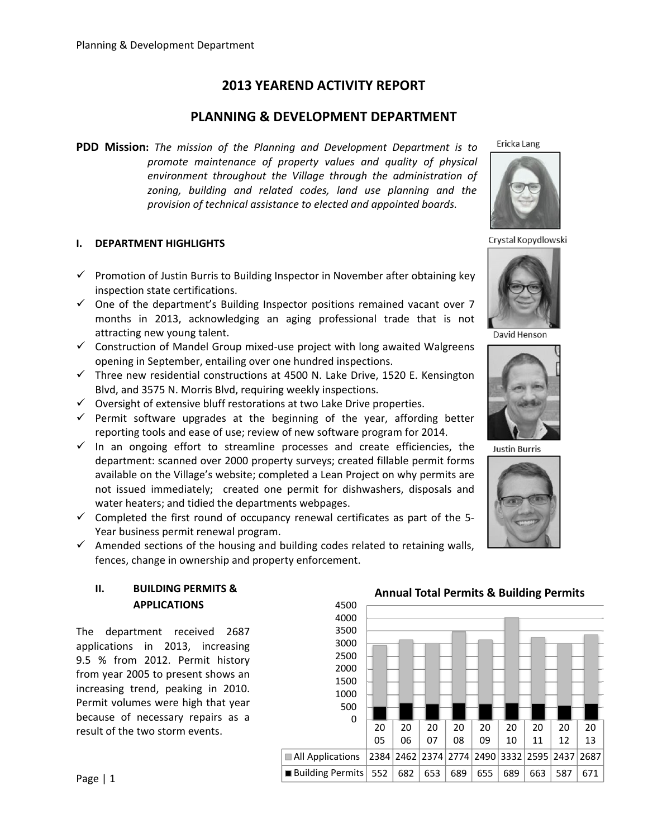# **2013 YEAREND ACTIVITY REPORT**

## **PLANNING & DEVELOPMENT DEPARTMENT**

**PDD Mission:** *The mission of the Planning and Development Department is to promote maintenance of property values and quality of physical environment throughout the Village through the administration of zoning, building and related codes, land use planning and the provision of technical assistance to elected and appointed boards.*

## **I. DEPARTMENT HIGHLIGHTS**

- $\checkmark$  Promotion of Justin Burris to Building Inspector in November after obtaining key inspection state certifications.
- $\checkmark$  One of the department's Building Inspector positions remained vacant over 7 months in 2013, acknowledging an aging professional trade that is not attracting new young talent.
- $\checkmark$  Construction of Mandel Group mixed-use project with long awaited Walgreens opening in September, entailing over one hundred inspections.
- $\checkmark$  Three new residential constructions at 4500 N. Lake Drive, 1520 E. Kensington Blvd, and 3575 N. Morris Blvd, requiring weekly inspections.
- $\checkmark$  Oversight of extensive bluff restorations at two Lake Drive properties.
- $\checkmark$  Permit software upgrades at the beginning of the year, affording better reporting tools and ease of use; review of new software program for 2014.
- $\checkmark$  In an ongoing effort to streamline processes and create efficiencies, the department: scanned over 2000 property surveys; created fillable permit forms available on the Village's website; completed a Lean Project on why permits are not issued immediately; created one permit for dishwashers, disposals and water heaters; and tidied the departments webpages.
- $\checkmark$  Completed the first round of occupancy renewal certificates as part of the 5-Year business permit renewal program.
- $\checkmark$  Amended sections of the housing and building codes related to retaining walls, fences, change in ownership and property enforcement.

## **II. BUILDING PERMITS & APPLICATIONS**

The department received 2687 applications in 2013, increasing 9.5 % from 2012. Permit history from year 2005 to present shows an increasing trend, peaking in 2010. Permit volumes were high that year because of necessary repairs as a result of the two storm events.



20 07

All Applications  $|2384|2462|2374|2774|2490|3332|2595|2437|2687$ ■Building Permits 552 682 653 689 655 689 663 587 671

20 08 20 09

20 10 20 11

20 12

20 13

05

0 500 1000

20 06 Ericka Lang



Crystal Kopydlowski



David Henson



**Justin Burris** 

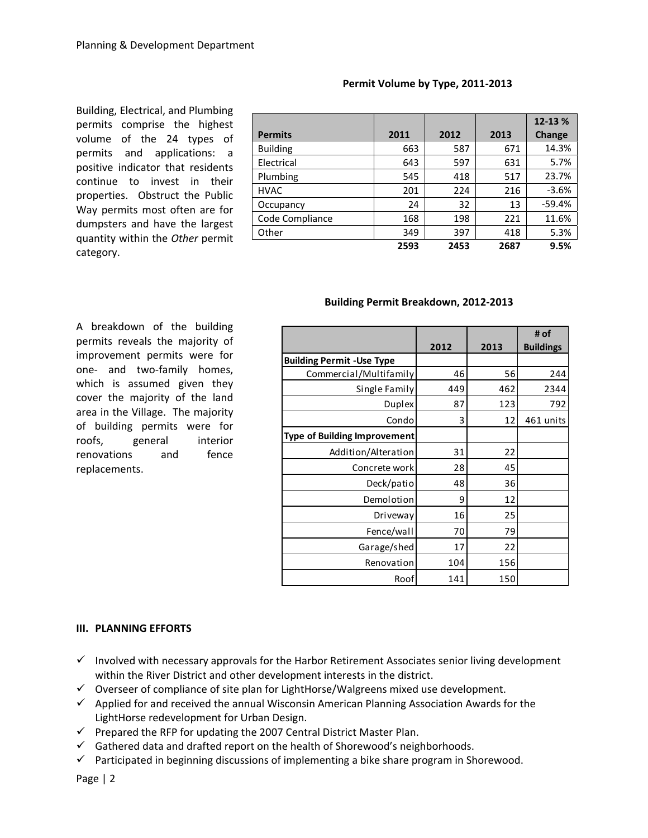Building, Electrical, and Plumbing permits comprise the highest volume of the 24 types of permits and applications: a positive indicator that residents continue to invest in their properties. Obstruct the Public Way permits most often are for dumpsters and have the largest quantity within the *Other* permit category.

| <b>Permits</b>  | 2011 | 2012 | 2013 | 12-13 %<br>Change |
|-----------------|------|------|------|-------------------|
| <b>Building</b> | 663  | 587  | 671  | 14.3%             |
| Electrical      | 643  | 597  | 631  | 5.7%              |
| Plumbing        | 545  | 418  | 517  | 23.7%             |
| <b>HVAC</b>     | 201  | 224  | 216  | $-3.6%$           |
| Occupancy       | 24   | 32   | 13   | $-59.4%$          |
| Code Compliance | 168  | 198  | 221  | 11.6%             |
| Other           | 349  | 397  | 418  | 5.3%              |
|                 | 2593 | 2453 | 2687 | 9.5%              |

#### **Permit Volume by Type, 2011‐2013**

#### **Building Permit Breakdown, 2012‐2013**

A breakdown of the building permits reveals the majority of improvement permits were for one‐ and two‐family homes, which is assumed given they cover the majority of the land area in the Village. The majority of building permits were for roofs, general interior renovations and fence replacements.

|                                     |      |      | # of             |
|-------------------------------------|------|------|------------------|
|                                     | 2012 | 2013 | <b>Buildings</b> |
| <b>Building Permit - Use Type</b>   |      |      |                  |
| Commercial/Multifamily              | 46   | 56   | 244              |
| Single Family                       | 449  | 462  | 2344             |
| <b>Duplex</b>                       | 87   | 123  | 792              |
| Condo                               | 3    | 12   | 461 units        |
| <b>Type of Building Improvement</b> |      |      |                  |
| Addition/Alteration                 | 31   | 22   |                  |
| Concrete work                       | 28   | 45   |                  |
| Deck/patio                          | 48   | 36   |                  |
| Demolotion                          | 9    | 12   |                  |
| Driveway                            | 16   | 25   |                  |
| Fence/wall                          | 70   | 79   |                  |
| Garage/shed                         | 17   | 22   |                  |
| Renovation                          | 104  | 156  |                  |
| Roof                                | 141  | 150  |                  |

#### **III. PLANNING EFFORTS**

- $\checkmark$  Involved with necessary approvals for the Harbor Retirement Associates senior living development within the River District and other development interests in the district.
- $\checkmark$  Overseer of compliance of site plan for LightHorse/Walgreens mixed use development.
- $\checkmark$  Applied for and received the annual Wisconsin American Planning Association Awards for the LightHorse redevelopment for Urban Design.
- $\checkmark$  Prepared the RFP for updating the 2007 Central District Master Plan.
- $\checkmark$  Gathered data and drafted report on the health of Shorewood's neighborhoods.
- $\checkmark$  Participated in beginning discussions of implementing a bike share program in Shorewood.

Page | 2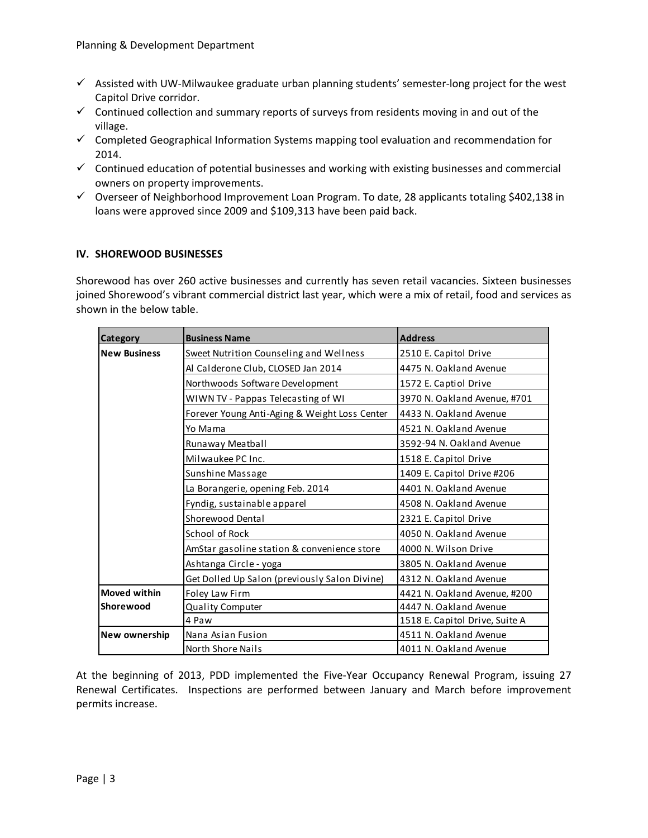- $\checkmark$  Assisted with UW-Milwaukee graduate urban planning students' semester-long project for the west Capitol Drive corridor.
- $\checkmark$  Continued collection and summary reports of surveys from residents moving in and out of the village.
- $\checkmark$  Completed Geographical Information Systems mapping tool evaluation and recommendation for 2014.
- $\checkmark$  Continued education of potential businesses and working with existing businesses and commercial owners on property improvements.
- $\checkmark$  Overseer of Neighborhood Improvement Loan Program. To date, 28 applicants totaling \$402,138 in loans were approved since 2009 and \$109,313 have been paid back.

## **IV. SHOREWOOD BUSINESSES**

Shorewood has over 260 active businesses and currently has seven retail vacancies. Sixteen businesses joined Shorewood's vibrant commercial district last year, which were a mix of retail, food and services as shown in the below table.

| Category<br><b>Business Name</b> |                                               | <b>Address</b>                 |  |  |  |
|----------------------------------|-----------------------------------------------|--------------------------------|--|--|--|
| <b>New Business</b>              | Sweet Nutrition Counseling and Wellness       | 2510 E. Capitol Drive          |  |  |  |
|                                  | Al Calderone Club, CLOSED Jan 2014            | 4475 N. Oakland Avenue         |  |  |  |
|                                  | Northwoods Software Development               | 1572 E. Captiol Drive          |  |  |  |
|                                  | WIWN TV - Pappas Telecasting of WI            | 3970 N. Oakland Avenue, #701   |  |  |  |
|                                  | Forever Young Anti-Aging & Weight Loss Center | 4433 N. Oakland Avenue         |  |  |  |
|                                  | Yo Mama                                       | 4521 N. Oakland Avenue         |  |  |  |
|                                  | Runaway Meatball                              | 3592-94 N. Oakland Avenue      |  |  |  |
|                                  | Milwaukee PC Inc.                             | 1518 E. Capitol Drive          |  |  |  |
|                                  | Sunshine Massage                              | 1409 E. Capitol Drive #206     |  |  |  |
|                                  | La Borangerie, opening Feb. 2014              | 4401 N. Oakland Avenue         |  |  |  |
|                                  | Fyndig, sustainable apparel                   | 4508 N. Oakland Avenue         |  |  |  |
|                                  | Shorewood Dental                              | 2321 E. Capitol Drive          |  |  |  |
|                                  | School of Rock                                | 4050 N. Oakland Avenue         |  |  |  |
|                                  | AmStar gasoline station & convenience store   | 4000 N. Wilson Drive           |  |  |  |
|                                  | Ashtanga Circle - yoga                        | 3805 N. Oakland Avenue         |  |  |  |
|                                  | Get Dolled Up Salon (previously Salon Divine) | 4312 N. Oakland Avenue         |  |  |  |
| Moved within                     | Foley Law Firm                                | 4421 N. Oakland Avenue, #200   |  |  |  |
| lShorewood                       | <b>Quality Computer</b>                       | 4447 N. Oakland Avenue         |  |  |  |
|                                  | 4 Paw                                         | 1518 E. Capitol Drive, Suite A |  |  |  |
| New ownership                    | Nana Asian Fusion                             | 4511 N. Oakland Avenue         |  |  |  |
|                                  | North Shore Nails                             | 4011 N. Oakland Avenue         |  |  |  |

At the beginning of 2013, PDD implemented the Five-Year Occupancy Renewal Program, issuing 27 Renewal Certificates. Inspections are performed between January and March before improvement permits increase.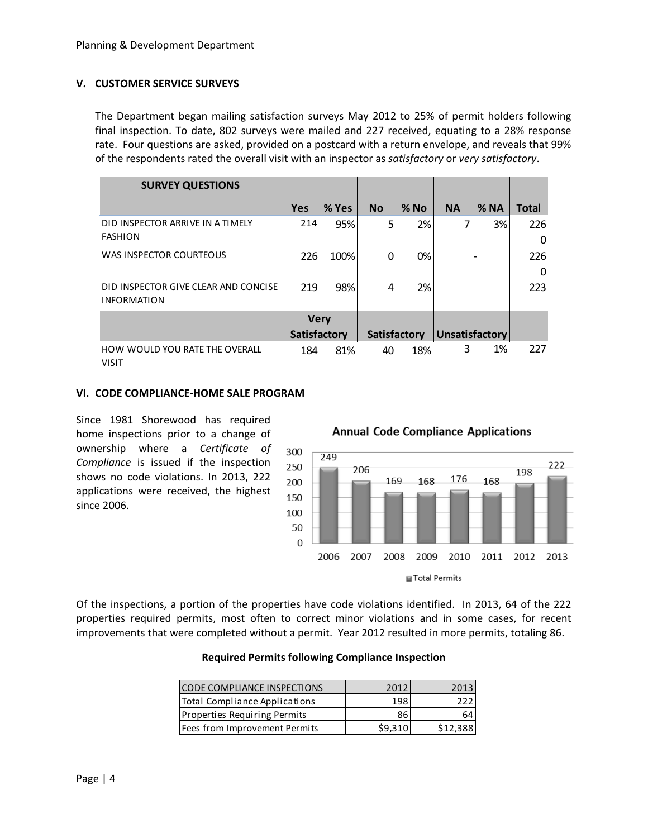#### **V. CUSTOMER SERVICE SURVEYS**

The Department began mailing satisfaction surveys May 2012 to 25% of permit holders following final inspection. To date, 802 surveys were mailed and 227 received, equating to a 28% response rate. Four questions are asked, provided on a postcard with a return envelope, and reveals that 99% of the respondents rated the overall visit with an inspector as *satisfactory* or *very satisfactory*.

| <b>SURVEY QUESTIONS</b>                                    |              |       |             |              |           |                       |              |
|------------------------------------------------------------|--------------|-------|-------------|--------------|-----------|-----------------------|--------------|
|                                                            | <b>Yes</b>   | % Yes | <b>No</b>   | $%$ No       | <b>NA</b> | $%$ NA                | <b>Total</b> |
| DID INSPECTOR ARRIVE IN A TIMELY<br><b>FASHION</b>         | 214          | 95%   | 5           | 2%           | 7         | 3%                    | 226          |
|                                                            |              |       |             |              |           |                       | 0            |
| <b>WAS INSPECTOR COURTEOUS</b>                             | 226          | 100%  | $\mathbf 0$ | 0%           |           |                       | 226          |
|                                                            |              |       |             |              |           |                       | 0            |
| DID INSPECTOR GIVE CLEAR AND CONCISE<br><b>INFORMATION</b> | 219          | 98%   | 4           | 2%           |           |                       | 223          |
|                                                            | <b>Very</b>  |       |             |              |           |                       |              |
|                                                            | Satisfactory |       |             | Satisfactory |           | <b>Unsatisfactory</b> |              |
| HOW WOULD YOU RATE THE OVERALL<br><b>VISIT</b>             | 184          | 81%   | 40          | 18%          | 3         | 1%                    | 227          |

#### **VI. CODE COMPLIANCE‐HOME SALE PROGRAM**

Since 1981 Shorewood has required home inspections prior to a change of ownership where a *Certificate of Compliance* is issued if the inspection shows no code violations. In 2013, 222 applications were received, the highest since 2006.

**Annual Code Compliance Applications** 



Of the inspections, a portion of the properties have code violations identified. In 2013, 64 of the 222 properties required permits, most often to correct minor violations and in some cases, for recent improvements that were completed without a permit. Year 2012 resulted in more permits, totaling 86.

#### **Required Permits following Compliance Inspection**

| <b>CODE COMPLIANCE INSPECTIONS</b>  | 2012    | 2013     |
|-------------------------------------|---------|----------|
| Total Compliance Applications       | 198     |          |
| <b>Properties Requiring Permits</b> | 86      | 64       |
| Fees from Improvement Permits       | \$9.310 | \$12,388 |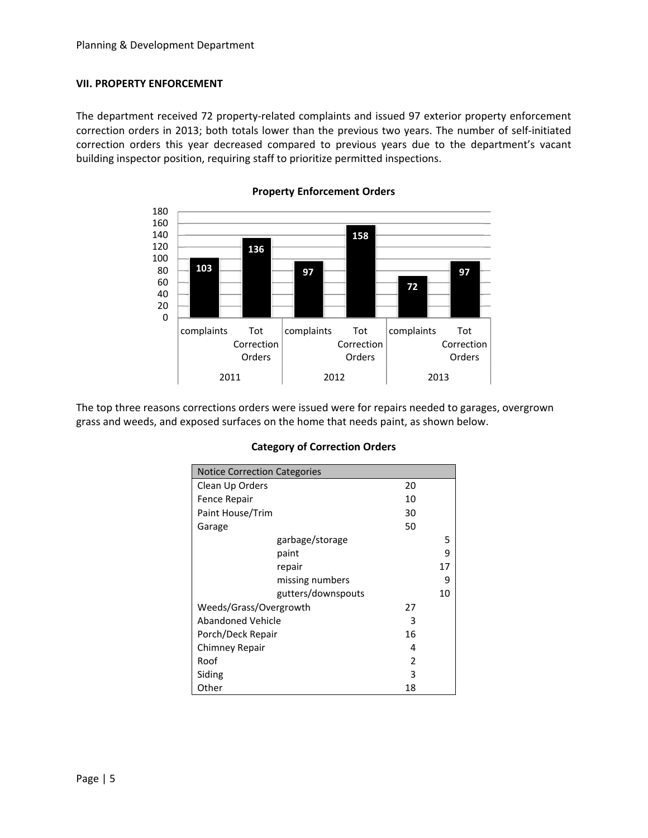#### **VII. PROPERTY ENFORCEMENT**

The department received 72 property-related complaints and issued 97 exterior property enforcement correction orders in 2013; both totals lower than the previous two years. The number of self‐initiated correction orders this year decreased compared to previous years due to the department's vacant building inspector position, requiring staff to prioritize permitted inspections.



**Property Enforcement Orders**

The top three reasons corrections orders were issued were for repairs needed to garages, overgrown grass and weeds, and exposed surfaces on the home that needs paint, as shown below.

| <b>Notice Correction Categories</b><br>Clean Up Orders<br>20<br>Fence Repair<br>10<br>Paint House/Trim<br>30<br>50<br>Garage<br>garbage/storage<br>paint<br>repair<br>missing numbers<br>gutters/downspouts<br>Weeds/Grass/Overgrowth<br>27<br>Abandoned Vehicle<br>3<br>Porch/Deck Repair<br>16 |                |    |    |
|--------------------------------------------------------------------------------------------------------------------------------------------------------------------------------------------------------------------------------------------------------------------------------------------------|----------------|----|----|
|                                                                                                                                                                                                                                                                                                  |                |    |    |
|                                                                                                                                                                                                                                                                                                  |                |    |    |
|                                                                                                                                                                                                                                                                                                  |                |    |    |
|                                                                                                                                                                                                                                                                                                  |                |    |    |
|                                                                                                                                                                                                                                                                                                  |                |    |    |
|                                                                                                                                                                                                                                                                                                  |                |    | 5  |
|                                                                                                                                                                                                                                                                                                  |                |    | ٩  |
|                                                                                                                                                                                                                                                                                                  |                |    | 17 |
|                                                                                                                                                                                                                                                                                                  |                |    | 9  |
|                                                                                                                                                                                                                                                                                                  |                |    | 10 |
|                                                                                                                                                                                                                                                                                                  |                |    |    |
|                                                                                                                                                                                                                                                                                                  |                |    |    |
|                                                                                                                                                                                                                                                                                                  |                |    |    |
|                                                                                                                                                                                                                                                                                                  | Chimney Repair | 4  |    |
|                                                                                                                                                                                                                                                                                                  | Roof           | 2  |    |
|                                                                                                                                                                                                                                                                                                  | Siding         | 3  |    |
|                                                                                                                                                                                                                                                                                                  | Other          | 18 |    |

#### **Category of Correction Orders**